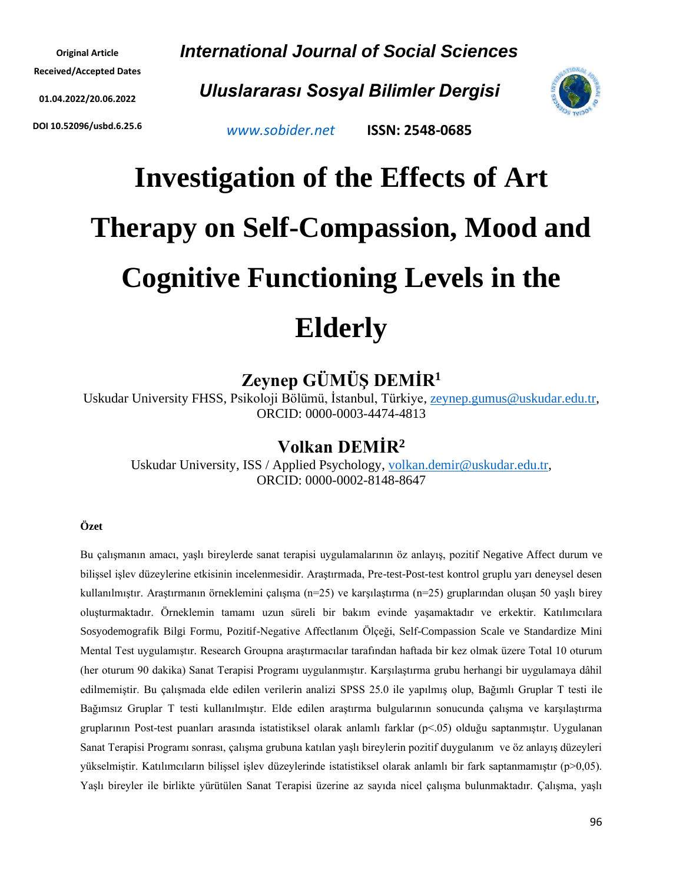**Original Article Received/Accepted Dates 01.04.2022/20.06.2022**

**DOI 10.52096/usbd.6.25.6**

*International Journal of Social Sciences*

*Uluslararası Sosyal Bilimler Dergisi*



*[www.sobider.net](http://www.sobider.net/)* **ISSN: 2548-0685**

# **Investigation of the Effects of Art Therapy on Self-Compassion, Mood and Cognitive Functioning Levels in the Elderly**

# **Zeynep GÜMÜŞ DEMİR<sup>1</sup>**

Uskudar University FHSS, Psikoloji Bölümü, İstanbul, Türkiye, [zeynep.gumus@uskudar.edu.tr,](mailto:zeynep.gumus@uskudar.edu.tr) ORCID: 0000-0003-4474-4813

# **Volkan DEMİR<sup>2</sup>**

Uskudar University, ISS / Applied Psychology, [volkan.demir@uskudar.edu.tr,](mailto:volkan.demir@uskudar.edu.tr) ORCID: 0000-0002-8148-8647

#### **Özet**

Bu çalışmanın amacı, yaşlı bireylerde sanat terapisi uygulamalarının öz anlayış, pozitif Negative Affect durum ve bilişsel işlev düzeylerine etkisinin incelenmesidir. Araştırmada, Pre-test-Post-test kontrol gruplu yarı deneysel desen kullanılmıştır. Araştırmanın örneklemini çalışma (n=25) ve karşılaştırma (n=25) gruplarından oluşan 50 yaşlı birey oluşturmaktadır. Örneklemin tamamı uzun süreli bir bakım evinde yaşamaktadır ve erkektir. Katılımcılara Sosyodemografik Bilgi Formu, Pozitif-Negative Affectlanım Ölçeği, Self-Compassion Scale ve Standardize Mini Mental Test uygulamıştır. Research Groupna araştırmacılar tarafından haftada bir kez olmak üzere Total 10 oturum (her oturum 90 dakika) Sanat Terapisi Programı uygulanmıştır. Karşılaştırma grubu herhangi bir uygulamaya dâhil edilmemiştir. Bu çalışmada elde edilen verilerin analizi SPSS 25.0 ile yapılmış olup, Bağımlı Gruplar T testi ile Bağımsız Gruplar T testi kullanılmıştır. Elde edilen araştırma bulgularının sonucunda çalışma ve karşılaştırma gruplarının Post-test puanları arasında istatistiksel olarak anlamlı farklar (p<.05) olduğu saptanmıştır. Uygulanan Sanat Terapisi Programı sonrası, çalışma grubuna katılan yaşlı bireylerin pozitif duygulanım ve öz anlayış düzeyleri yükselmiştir. Katılımcıların bilişsel işlev düzeylerinde istatistiksel olarak anlamlı bir fark saptanmamıştır (p>0,05). Yaşlı bireyler ile birlikte yürütülen Sanat Terapisi üzerine az sayıda nicel çalışma bulunmaktadır. Çalışma, yaşlı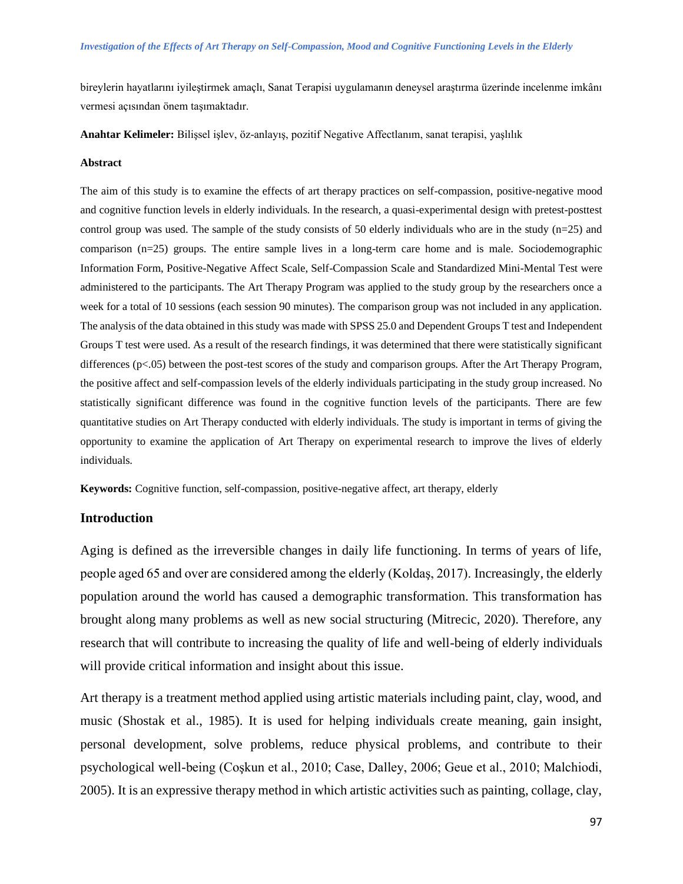bireylerin hayatlarını iyileştirmek amaçlı, Sanat Terapisi uygulamanın deneysel araştırma üzerinde incelenme imkânı vermesi açısından önem taşımaktadır.

**Anahtar Kelimeler:** Bilişsel işlev, öz-anlayış, pozitif Negative Affectlanım, sanat terapisi, yaşlılık

#### **Abstract**

The aim of this study is to examine the effects of art therapy practices on self-compassion, positive-negative mood and cognitive function levels in elderly individuals. In the research, a quasi-experimental design with pretest-posttest control group was used. The sample of the study consists of 50 elderly individuals who are in the study  $(n=25)$  and comparison (n=25) groups. The entire sample lives in a long-term care home and is male. Sociodemographic Information Form, Positive-Negative Affect Scale, Self-Compassion Scale and Standardized Mini-Mental Test were administered to the participants. The Art Therapy Program was applied to the study group by the researchers once a week for a total of 10 sessions (each session 90 minutes). The comparison group was not included in any application. The analysis of the data obtained in this study was made with SPSS 25.0 and Dependent Groups T test and Independent Groups T test were used. As a result of the research findings, it was determined that there were statistically significant differences (p<.05) between the post-test scores of the study and comparison groups. After the Art Therapy Program, the positive affect and self-compassion levels of the elderly individuals participating in the study group increased. No statistically significant difference was found in the cognitive function levels of the participants. There are few quantitative studies on Art Therapy conducted with elderly individuals. The study is important in terms of giving the opportunity to examine the application of Art Therapy on experimental research to improve the lives of elderly individuals.

**Keywords:** Cognitive function, self-compassion, positive-negative affect, art therapy, elderly

#### **Introduction**

Aging is defined as the irreversible changes in daily life functioning. In terms of years of life, people aged 65 and over are considered among the elderly (Koldaş, 2017). Increasingly, the elderly population around the world has caused a demographic transformation. This transformation has brought along many problems as well as new social structuring (Mitrecic, 2020). Therefore, any research that will contribute to increasing the quality of life and well-being of elderly individuals will provide critical information and insight about this issue.

Art therapy is a treatment method applied using artistic materials including paint, clay, wood, and music (Shostak et al., 1985). It is used for helping individuals create meaning, gain insight, personal development, solve problems, reduce physical problems, and contribute to their psychological well-being (Coşkun et al., 2010; Case, Dalley, 2006; Geue et al., 2010; Malchiodi, 2005). It is an expressive therapy method in which artistic activities such as painting, collage, clay,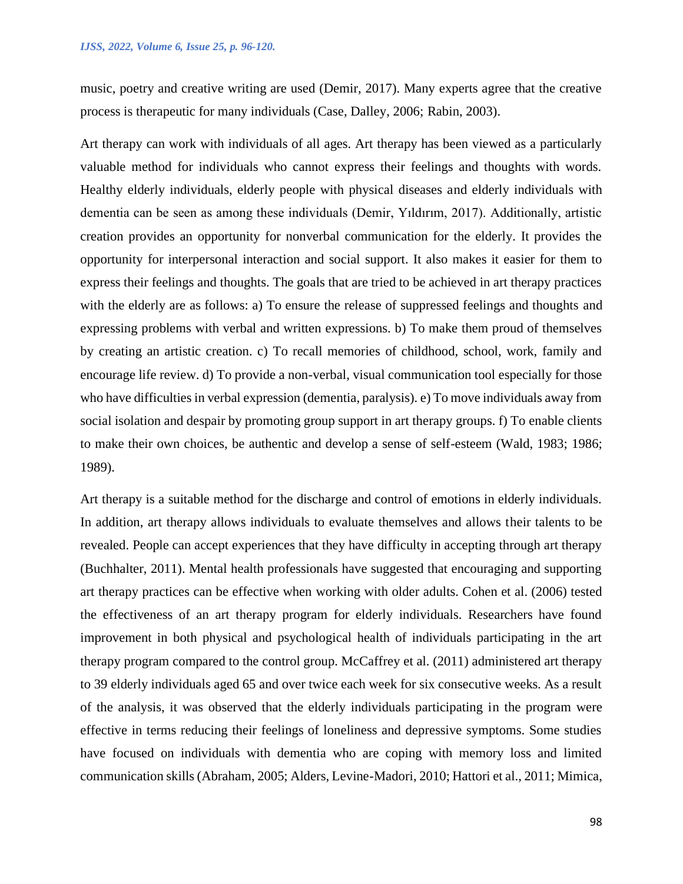music, poetry and creative writing are used (Demir, 2017). Many experts agree that the creative process is therapeutic for many individuals (Case, Dalley, 2006; Rabin, 2003).

Art therapy can work with individuals of all ages. Art therapy has been viewed as a particularly valuable method for individuals who cannot express their feelings and thoughts with words. Healthy elderly individuals, elderly people with physical diseases and elderly individuals with dementia can be seen as among these individuals (Demir, Yıldırım, 2017). Additionally, artistic creation provides an opportunity for nonverbal communication for the elderly. It provides the opportunity for interpersonal interaction and social support. It also makes it easier for them to express their feelings and thoughts. The goals that are tried to be achieved in art therapy practices with the elderly are as follows: a) To ensure the release of suppressed feelings and thoughts and expressing problems with verbal and written expressions. b) To make them proud of themselves by creating an artistic creation. c) To recall memories of childhood, school, work, family and encourage life review. d) To provide a non-verbal, visual communication tool especially for those who have difficulties in verbal expression (dementia, paralysis). e) To move individuals away from social isolation and despair by promoting group support in art therapy groups. f) To enable clients to make their own choices, be authentic and develop a sense of self-esteem (Wald, 1983; 1986; 1989).

Art therapy is a suitable method for the discharge and control of emotions in elderly individuals. In addition, art therapy allows individuals to evaluate themselves and allows their talents to be revealed. People can accept experiences that they have difficulty in accepting through art therapy (Buchhalter, 2011). Mental health professionals have suggested that encouraging and supporting art therapy practices can be effective when working with older adults. Cohen et al. (2006) tested the effectiveness of an art therapy program for elderly individuals. Researchers have found improvement in both physical and psychological health of individuals participating in the art therapy program compared to the control group. McCaffrey et al. (2011) administered art therapy to 39 elderly individuals aged 65 and over twice each week for six consecutive weeks. As a result of the analysis, it was observed that the elderly individuals participating in the program were effective in terms reducing their feelings of loneliness and depressive symptoms. Some studies have focused on individuals with dementia who are coping with memory loss and limited communication skills (Abraham, 2005; Alders, Levine-Madori, 2010; Hattori et al., 2011; Mimica,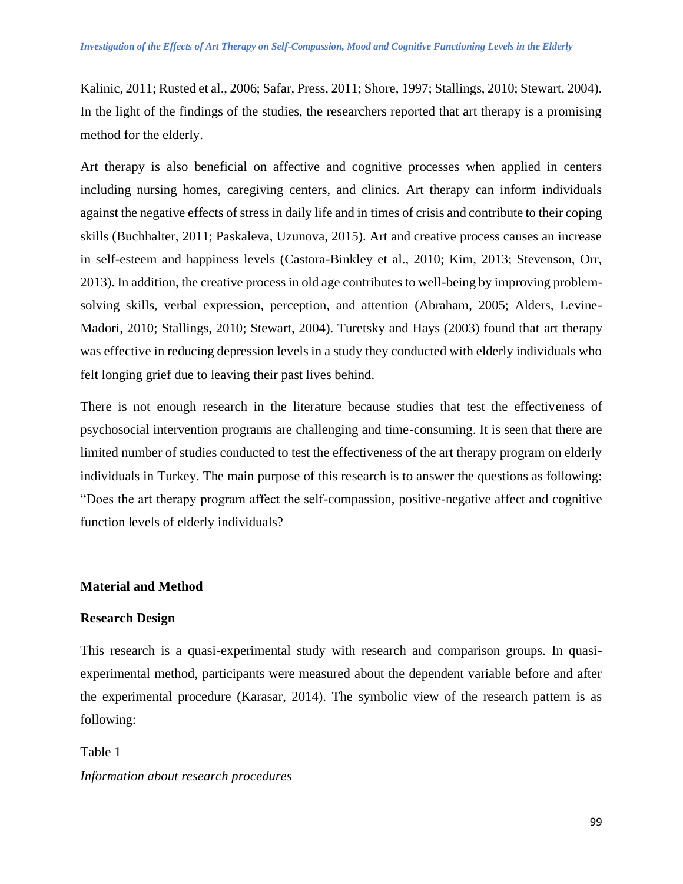Kalinic, 2011; Rusted et al., 2006; Safar, Press, 2011; Shore, 1997; Stallings, 2010; Stewart, 2004). In the light of the findings of the studies, the researchers reported that art therapy is a promising method for the elderly.

Art therapy is also beneficial on affective and cognitive processes when applied in centers including nursing homes, caregiving centers, and clinics. Art therapy can inform individuals against the negative effects of stress in daily life and in times of crisis and contribute to their coping skills (Buchhalter, 2011; Paskaleva, Uzunova, 2015). Art and creative process causes an increase in self-esteem and happiness levels (Castora-Binkley et al., 2010; Kim, 2013; Stevenson, Orr, 2013). In addition, the creative process in old age contributes to well-being by improving problemsolving skills, verbal expression, perception, and attention (Abraham, 2005; Alders, Levine-Madori, 2010; Stallings, 2010; Stewart, 2004). Turetsky and Hays (2003) found that art therapy was effective in reducing depression levels in a study they conducted with elderly individuals who felt longing grief due to leaving their past lives behind.

There is not enough research in the literature because studies that test the effectiveness of psychosocial intervention programs are challenging and time-consuming. It is seen that there are limited number of studies conducted to test the effectiveness of the art therapy program on elderly individuals in Turkey. The main purpose of this research is to answer the questions as following: "Does the art therapy program affect the self-compassion, positive-negative affect and cognitive function levels of elderly individuals?

# **Material and Method**

# **Research Design**

This research is a quasi-experimental study with research and comparison groups. In quasiexperimental method, participants were measured about the dependent variable before and after the experimental procedure (Karasar, 2014). The symbolic view of the research pattern is as following:

Table 1 *Information about research procedures*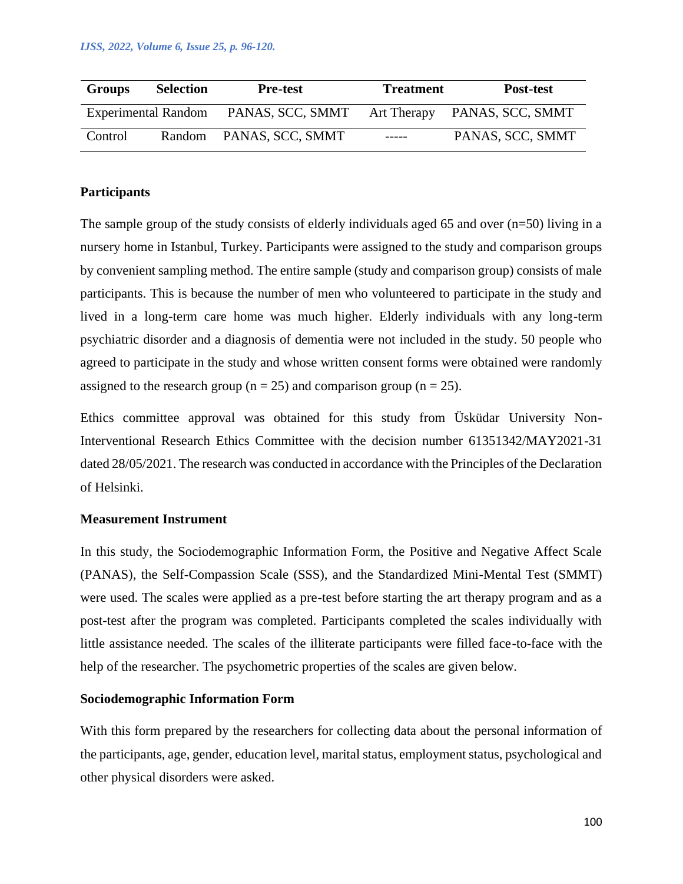| <b>Groups</b> | <b>Selection</b>           | <b>Pre-test</b>         | <b>Treatment</b>   | Post-test        |
|---------------|----------------------------|-------------------------|--------------------|------------------|
|               | <b>Experimental Random</b> | PANAS, SCC, SMMT        | <b>Art Therapy</b> | PANAS, SCC, SMMT |
| Control       |                            | Random PANAS, SCC, SMMT | $------$           | PANAS, SCC, SMMT |

# **Participants**

The sample group of the study consists of elderly individuals aged 65 and over  $(n=50)$  living in a nursery home in Istanbul, Turkey. Participants were assigned to the study and comparison groups by convenient sampling method. The entire sample (study and comparison group) consists of male participants. This is because the number of men who volunteered to participate in the study and lived in a long-term care home was much higher. Elderly individuals with any long-term psychiatric disorder and a diagnosis of dementia were not included in the study. 50 people who agreed to participate in the study and whose written consent forms were obtained were randomly assigned to the research group ( $n = 25$ ) and comparison group ( $n = 25$ ).

Ethics committee approval was obtained for this study from Üsküdar University Non-Interventional Research Ethics Committee with the decision number 61351342/MAY2021-31 dated 28/05/2021. The research was conducted in accordance with the Principles of the Declaration of Helsinki.

# **Measurement Instrument**

In this study, the Sociodemographic Information Form, the Positive and Negative Affect Scale (PANAS), the Self-Compassion Scale (SSS), and the Standardized Mini-Mental Test (SMMT) were used. The scales were applied as a pre-test before starting the art therapy program and as a post-test after the program was completed. Participants completed the scales individually with little assistance needed. The scales of the illiterate participants were filled face-to-face with the help of the researcher. The psychometric properties of the scales are given below.

# **Sociodemographic Information Form**

With this form prepared by the researchers for collecting data about the personal information of the participants, age, gender, education level, marital status, employment status, psychological and other physical disorders were asked.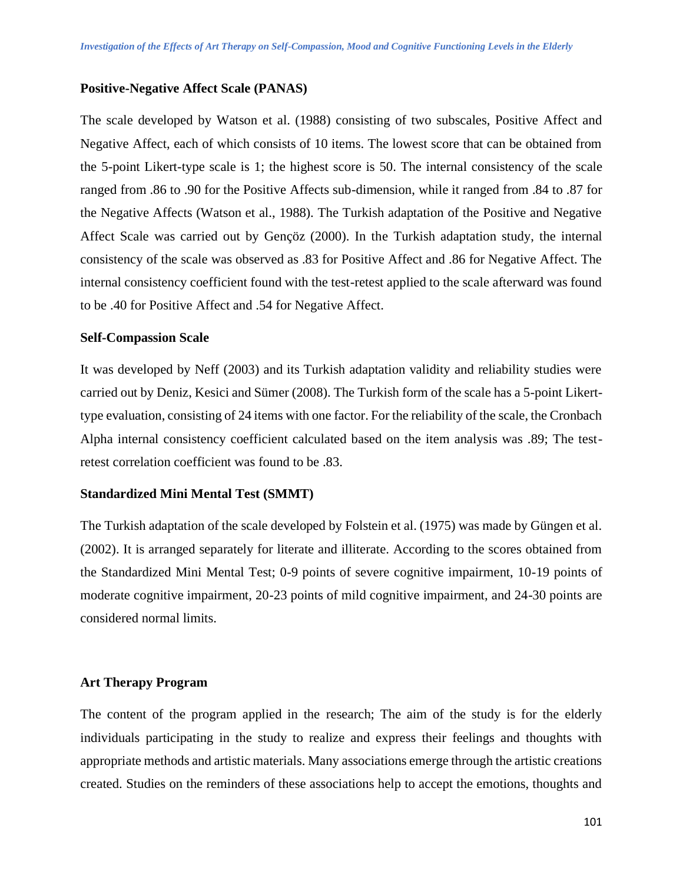#### **Positive-Negative Affect Scale (PANAS)**

The scale developed by Watson et al. (1988) consisting of two subscales, Positive Affect and Negative Affect, each of which consists of 10 items. The lowest score that can be obtained from the 5-point Likert-type scale is 1; the highest score is 50. The internal consistency of the scale ranged from .86 to .90 for the Positive Affects sub-dimension, while it ranged from .84 to .87 for the Negative Affects (Watson et al., 1988). The Turkish adaptation of the Positive and Negative Affect Scale was carried out by Gençöz (2000). In the Turkish adaptation study, the internal consistency of the scale was observed as .83 for Positive Affect and .86 for Negative Affect. The internal consistency coefficient found with the test-retest applied to the scale afterward was found to be .40 for Positive Affect and .54 for Negative Affect.

#### **Self-Compassion Scale**

It was developed by Neff (2003) and its Turkish adaptation validity and reliability studies were carried out by Deniz, Kesici and Sümer (2008). The Turkish form of the scale has a 5-point Likerttype evaluation, consisting of 24 items with one factor. For the reliability of the scale, the Cronbach Alpha internal consistency coefficient calculated based on the item analysis was .89; The testretest correlation coefficient was found to be .83.

#### **Standardized Mini Mental Test (SMMT)**

The Turkish adaptation of the scale developed by Folstein et al. (1975) was made by Güngen et al. (2002). It is arranged separately for literate and illiterate. According to the scores obtained from the Standardized Mini Mental Test; 0-9 points of severe cognitive impairment, 10-19 points of moderate cognitive impairment, 20-23 points of mild cognitive impairment, and 24-30 points are considered normal limits.

#### **Art Therapy Program**

The content of the program applied in the research; The aim of the study is for the elderly individuals participating in the study to realize and express their feelings and thoughts with appropriate methods and artistic materials. Many associations emerge through the artistic creations created. Studies on the reminders of these associations help to accept the emotions, thoughts and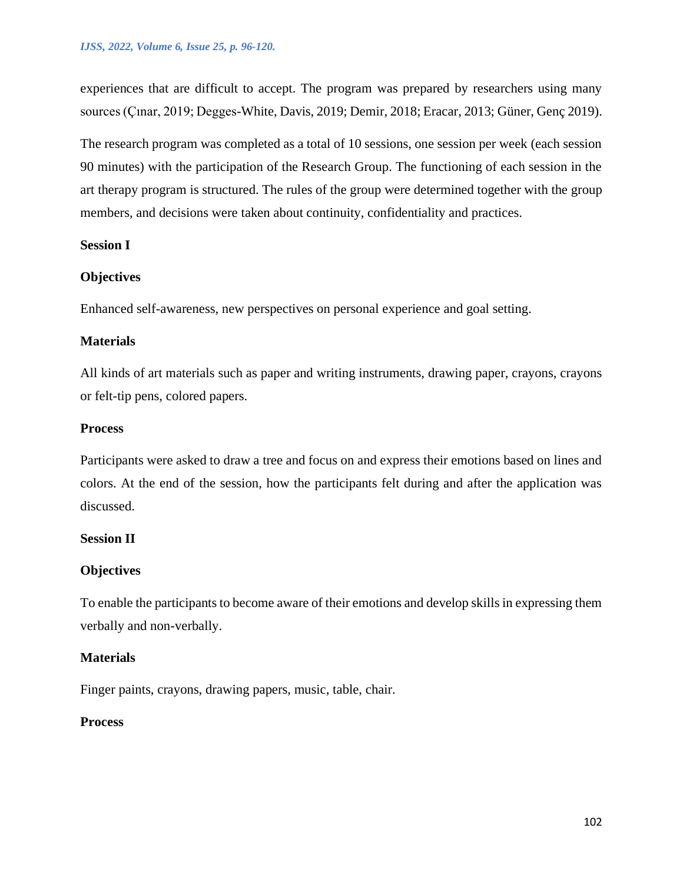experiences that are difficult to accept. The program was prepared by researchers using many sources (Çınar, 2019; Degges-White, Davis, 2019; Demir, 2018; Eracar, 2013; Güner, Genç 2019).

The research program was completed as a total of 10 sessions, one session per week (each session 90 minutes) with the participation of the Research Group. The functioning of each session in the art therapy program is structured. The rules of the group were determined together with the group members, and decisions were taken about continuity, confidentiality and practices.

# **Session I**

# **Objectives**

Enhanced self-awareness, new perspectives on personal experience and goal setting.

# **Materials**

All kinds of art materials such as paper and writing instruments, drawing paper, crayons, crayons or felt-tip pens, colored papers.

#### **Process**

Participants were asked to draw a tree and focus on and express their emotions based on lines and colors. At the end of the session, how the participants felt during and after the application was discussed.

# **Session II**

# **Objectives**

To enable the participants to become aware of their emotions and develop skills in expressing them verbally and non-verbally.

# **Materials**

Finger paints, crayons, drawing papers, music, table, chair.

#### **Process**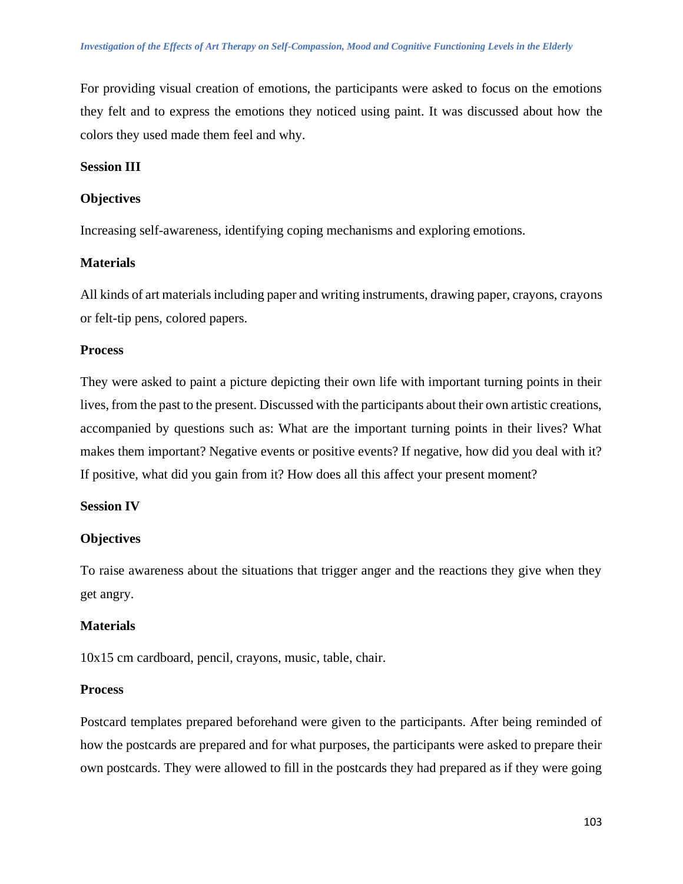For providing visual creation of emotions, the participants were asked to focus on the emotions they felt and to express the emotions they noticed using paint. It was discussed about how the colors they used made them feel and why.

# **Session III**

# **Objectives**

Increasing self-awareness, identifying coping mechanisms and exploring emotions.

# **Materials**

All kinds of art materials including paper and writing instruments, drawing paper, crayons, crayons or felt-tip pens, colored papers.

# **Process**

They were asked to paint a picture depicting their own life with important turning points in their lives, from the past to the present. Discussed with the participants about their own artistic creations, accompanied by questions such as: What are the important turning points in their lives? What makes them important? Negative events or positive events? If negative, how did you deal with it? If positive, what did you gain from it? How does all this affect your present moment?

# **Session IV**

# **Objectives**

To raise awareness about the situations that trigger anger and the reactions they give when they get angry.

# **Materials**

10x15 cm cardboard, pencil, crayons, music, table, chair.

#### **Process**

Postcard templates prepared beforehand were given to the participants. After being reminded of how the postcards are prepared and for what purposes, the participants were asked to prepare their own postcards. They were allowed to fill in the postcards they had prepared as if they were going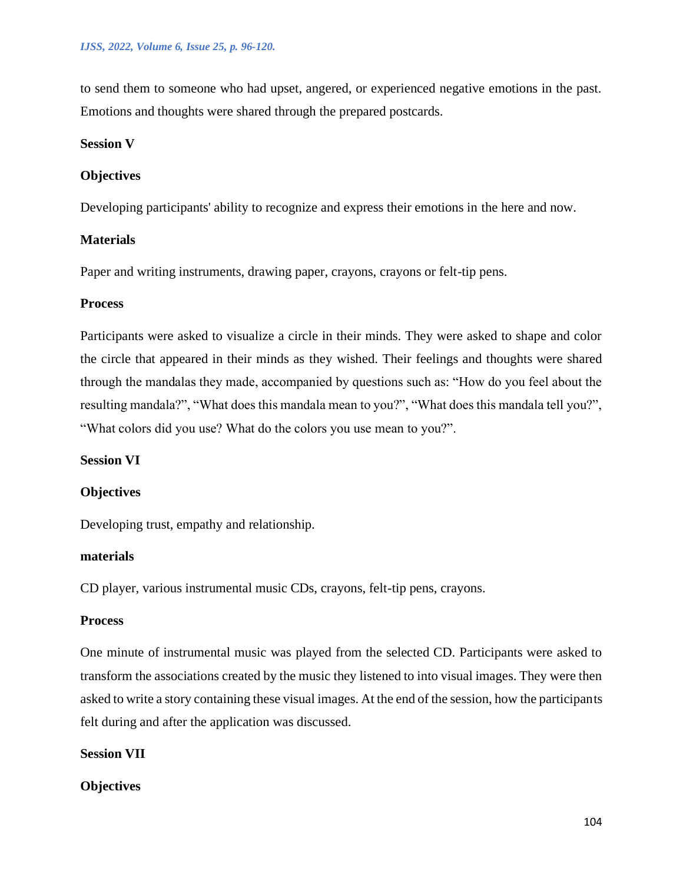to send them to someone who had upset, angered, or experienced negative emotions in the past. Emotions and thoughts were shared through the prepared postcards.

# **Session V**

# **Objectives**

Developing participants' ability to recognize and express their emotions in the here and now.

# **Materials**

Paper and writing instruments, drawing paper, crayons, crayons or felt-tip pens.

# **Process**

Participants were asked to visualize a circle in their minds. They were asked to shape and color the circle that appeared in their minds as they wished. Their feelings and thoughts were shared through the mandalas they made, accompanied by questions such as: "How do you feel about the resulting mandala?", "What does this mandala mean to you?", "What does this mandala tell you?", "What colors did you use? What do the colors you use mean to you?".

# **Session VI**

#### **Objectives**

Developing trust, empathy and relationship.

#### **materials**

CD player, various instrumental music CDs, crayons, felt-tip pens, crayons.

### **Process**

One minute of instrumental music was played from the selected CD. Participants were asked to transform the associations created by the music they listened to into visual images. They were then asked to write a story containing these visual images. At the end of the session, how the participants felt during and after the application was discussed.

#### **Session VII**

# **Objectives**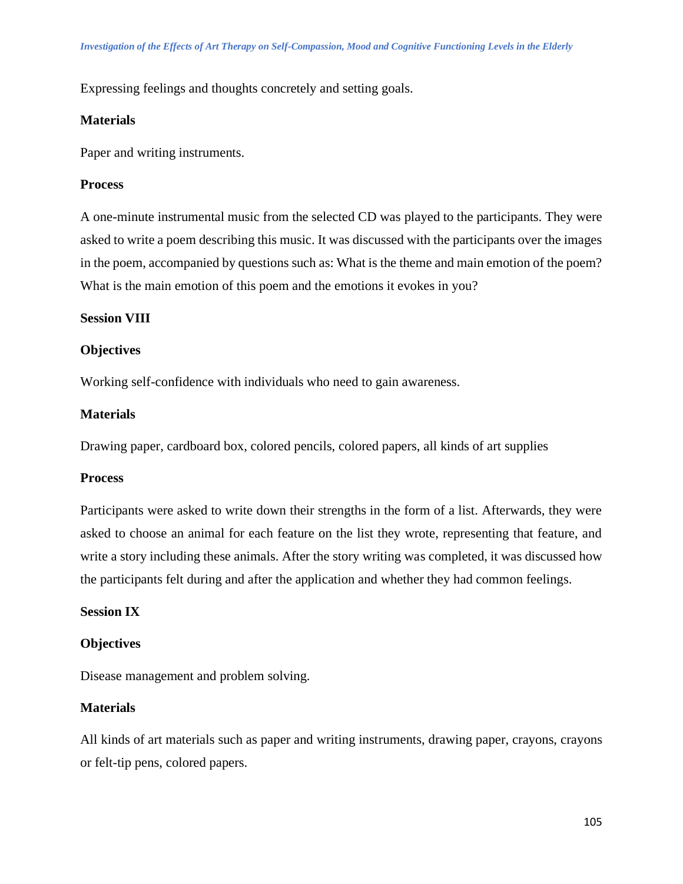Expressing feelings and thoughts concretely and setting goals.

#### **Materials**

Paper and writing instruments.

#### **Process**

A one-minute instrumental music from the selected CD was played to the participants. They were asked to write a poem describing this music. It was discussed with the participants over the images in the poem, accompanied by questions such as: What is the theme and main emotion of the poem? What is the main emotion of this poem and the emotions it evokes in you?

#### **Session VIII**

# **Objectives**

Working self-confidence with individuals who need to gain awareness.

# **Materials**

Drawing paper, cardboard box, colored pencils, colored papers, all kinds of art supplies

#### **Process**

Participants were asked to write down their strengths in the form of a list. Afterwards, they were asked to choose an animal for each feature on the list they wrote, representing that feature, and write a story including these animals. After the story writing was completed, it was discussed how the participants felt during and after the application and whether they had common feelings.

#### **Session IX**

#### **Objectives**

Disease management and problem solving.

#### **Materials**

All kinds of art materials such as paper and writing instruments, drawing paper, crayons, crayons or felt-tip pens, colored papers.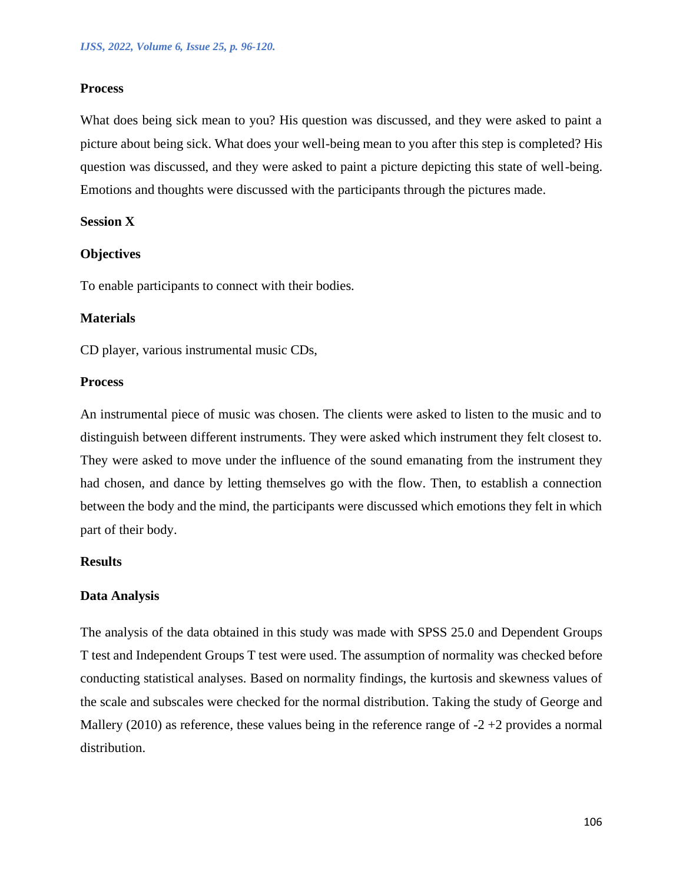#### **Process**

What does being sick mean to you? His question was discussed, and they were asked to paint a picture about being sick. What does your well-being mean to you after this step is completed? His question was discussed, and they were asked to paint a picture depicting this state of well-being. Emotions and thoughts were discussed with the participants through the pictures made.

# **Session X**

#### **Objectives**

To enable participants to connect with their bodies.

#### **Materials**

CD player, various instrumental music CDs,

#### **Process**

An instrumental piece of music was chosen. The clients were asked to listen to the music and to distinguish between different instruments. They were asked which instrument they felt closest to. They were asked to move under the influence of the sound emanating from the instrument they had chosen, and dance by letting themselves go with the flow. Then, to establish a connection between the body and the mind, the participants were discussed which emotions they felt in which part of their body.

### **Results**

#### **Data Analysis**

The analysis of the data obtained in this study was made with SPSS 25.0 and Dependent Groups T test and Independent Groups T test were used. The assumption of normality was checked before conducting statistical analyses. Based on normality findings, the kurtosis and skewness values of the scale and subscales were checked for the normal distribution. Taking the study of George and Mallery (2010) as reference, these values being in the reference range of  $-2 + 2$  provides a normal distribution.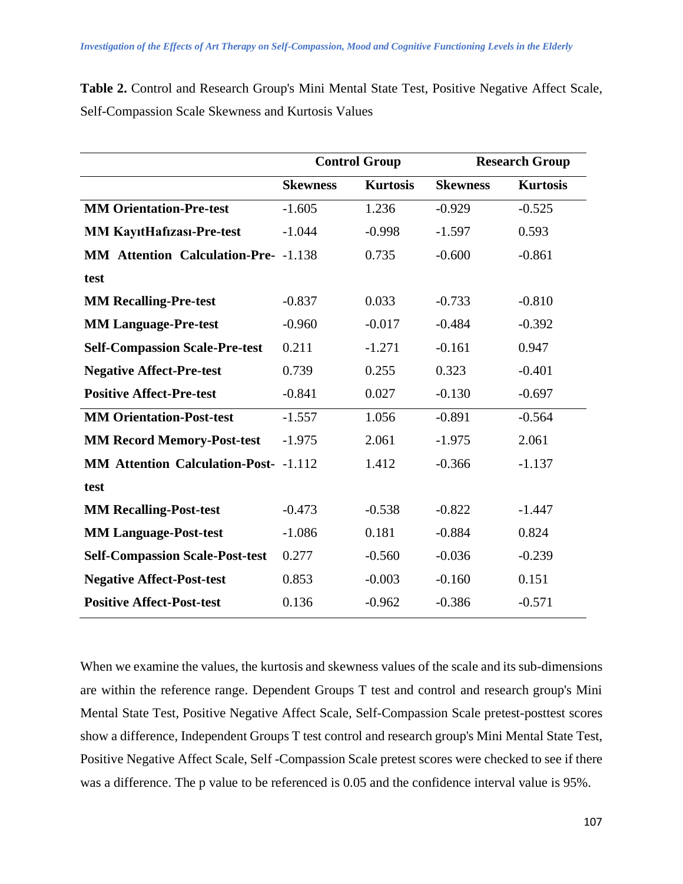| <b>Table 2.</b> Control and Research Group's Mini Mental State Test, Positive Negative Affect Scale, |  |  |  |  |  |  |
|------------------------------------------------------------------------------------------------------|--|--|--|--|--|--|
| Self-Compassion Scale Skewness and Kurtosis Values                                                   |  |  |  |  |  |  |

| <b>Kurtosis</b><br><b>Kurtosis</b><br><b>Skewness</b><br><b>Skewness</b><br><b>MM Orientation-Pre-test</b><br>$-1.605$<br>1.236<br>$-0.525$<br>$-0.929$<br>0.593<br><b>MM KayıtHafizası-Pre-test</b><br>$-1.044$<br>$-0.998$<br>$-1.597$<br><b>MM Attention Calculation-Pre-</b> -1.138<br>0.735<br>$-0.600$<br>$-0.861$<br>test<br><b>MM Recalling-Pre-test</b><br>0.033<br>$-0.733$<br>$-0.810$<br>$-0.837$<br><b>MM Language-Pre-test</b><br>$-0.960$<br>$-0.017$<br>$-0.484$<br>$-0.392$<br><b>Self-Compassion Scale-Pre-test</b><br>0.211<br>$-1.271$<br>$-0.161$<br>0.947 |
|---------------------------------------------------------------------------------------------------------------------------------------------------------------------------------------------------------------------------------------------------------------------------------------------------------------------------------------------------------------------------------------------------------------------------------------------------------------------------------------------------------------------------------------------------------------------------------|
|                                                                                                                                                                                                                                                                                                                                                                                                                                                                                                                                                                                 |
|                                                                                                                                                                                                                                                                                                                                                                                                                                                                                                                                                                                 |
|                                                                                                                                                                                                                                                                                                                                                                                                                                                                                                                                                                                 |
|                                                                                                                                                                                                                                                                                                                                                                                                                                                                                                                                                                                 |
|                                                                                                                                                                                                                                                                                                                                                                                                                                                                                                                                                                                 |
|                                                                                                                                                                                                                                                                                                                                                                                                                                                                                                                                                                                 |
|                                                                                                                                                                                                                                                                                                                                                                                                                                                                                                                                                                                 |
|                                                                                                                                                                                                                                                                                                                                                                                                                                                                                                                                                                                 |
| 0.739<br>0.255<br>0.323<br>$-0.401$<br><b>Negative Affect-Pre-test</b>                                                                                                                                                                                                                                                                                                                                                                                                                                                                                                          |
| <b>Positive Affect-Pre-test</b><br>$-0.841$<br>0.027<br>$-0.130$<br>$-0.697$                                                                                                                                                                                                                                                                                                                                                                                                                                                                                                    |
| <b>MM Orientation-Post-test</b><br>$-1.557$<br>1.056<br>$-0.891$<br>$-0.564$                                                                                                                                                                                                                                                                                                                                                                                                                                                                                                    |
| 2.061<br><b>MM Record Memory-Post-test</b><br>$-1.975$<br>2.061<br>$-1.975$                                                                                                                                                                                                                                                                                                                                                                                                                                                                                                     |
| <b>MM Attention Calculation-Post-</b> -1.112<br>1.412<br>$-0.366$<br>$-1.137$                                                                                                                                                                                                                                                                                                                                                                                                                                                                                                   |
| test                                                                                                                                                                                                                                                                                                                                                                                                                                                                                                                                                                            |
| $-0.538$<br>$-0.822$<br><b>MM Recalling-Post-test</b><br>$-0.473$<br>$-1.447$                                                                                                                                                                                                                                                                                                                                                                                                                                                                                                   |
| 0.181<br>0.824<br><b>MM Language-Post-test</b><br>$-1.086$<br>$-0.884$                                                                                                                                                                                                                                                                                                                                                                                                                                                                                                          |
| $-0.036$<br><b>Self-Compassion Scale-Post-test</b><br>0.277<br>$-0.560$<br>$-0.239$                                                                                                                                                                                                                                                                                                                                                                                                                                                                                             |
| <b>Negative Affect-Post-test</b><br>0.853<br>$-0.003$<br>$-0.160$<br>0.151                                                                                                                                                                                                                                                                                                                                                                                                                                                                                                      |
| <b>Positive Affect-Post-test</b><br>0.136<br>$-0.962$<br>$-0.386$<br>$-0.571$                                                                                                                                                                                                                                                                                                                                                                                                                                                                                                   |

When we examine the values, the kurtosis and skewness values of the scale and its sub-dimensions are within the reference range. Dependent Groups T test and control and research group's Mini Mental State Test, Positive Negative Affect Scale, Self-Compassion Scale pretest-posttest scores show a difference, Independent Groups T test control and research group's Mini Mental State Test, Positive Negative Affect Scale, Self -Compassion Scale pretest scores were checked to see if there was a difference. The p value to be referenced is 0.05 and the confidence interval value is 95%.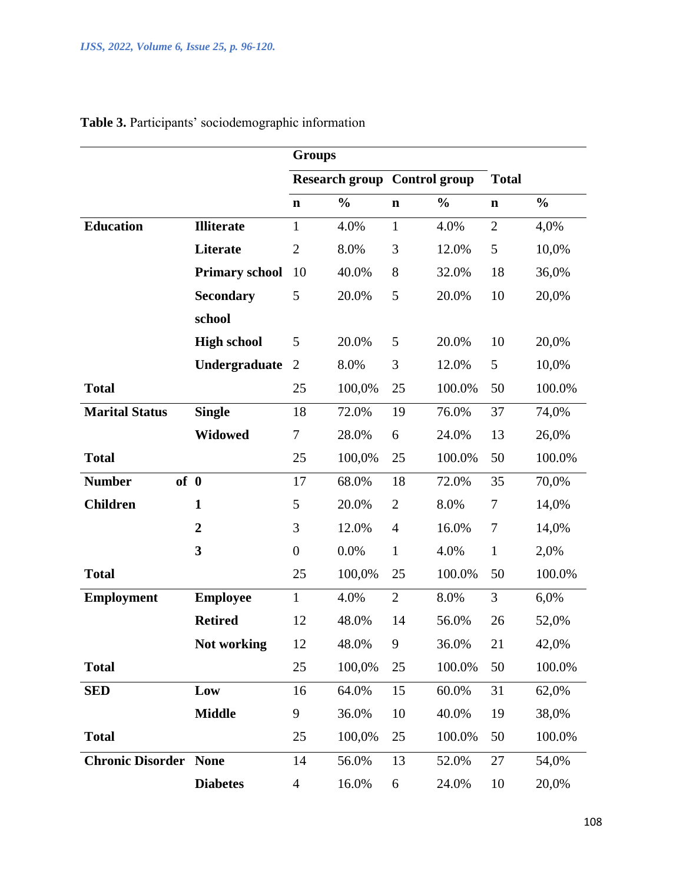|                         |                       | <b>Groups</b>    |                       |                |                      |                |               |  |  |
|-------------------------|-----------------------|------------------|-----------------------|----------------|----------------------|----------------|---------------|--|--|
|                         |                       |                  | <b>Research group</b> |                | <b>Control group</b> | <b>Total</b>   |               |  |  |
|                         |                       | $\mathbf n$      | $\frac{0}{0}$         | $\mathbf n$    | $\frac{0}{0}$        | $\mathbf n$    | $\frac{0}{0}$ |  |  |
| <b>Education</b>        | <b>Illiterate</b>     | $\mathbf{1}$     | 4.0%                  | $\mathbf{1}$   | 4.0%                 | $\overline{2}$ | 4,0%          |  |  |
|                         | <b>Literate</b>       | $\mathbf{2}$     | 8.0%                  | 3              | 12.0%                | 5              | 10,0%         |  |  |
|                         | <b>Primary school</b> | 10               | 40.0%                 | 8              | 32.0%                | 18             | 36,0%         |  |  |
|                         | <b>Secondary</b>      | 5                | 20.0%                 | 5              | 20.0%                | 10             | 20,0%         |  |  |
|                         | school                |                  |                       |                |                      |                |               |  |  |
|                         | <b>High school</b>    | 5                | 20.0%                 | 5              | 20.0%                | 10             | 20,0%         |  |  |
|                         | Undergraduate         | $\overline{2}$   | 8.0%                  | 3              | 12.0%                | 5              | 10,0%         |  |  |
| <b>Total</b>            |                       | 25               | 100,0%                | 25             | 100.0%               | 50             | 100.0%        |  |  |
| <b>Marital Status</b>   | <b>Single</b>         | 18               | 72.0%                 | 19             | 76.0%                | 37             | 74,0%         |  |  |
|                         | <b>Widowed</b>        | 7                | 28.0%                 | 6              | 24.0%                | 13             | 26,0%         |  |  |
| <b>Total</b>            |                       | 25               | 100,0%                | 25             | 100.0%               | 50             | 100.0%        |  |  |
| of 0<br><b>Number</b>   |                       | 17               | 68.0%                 | 18             | 72.0%                | 35             | 70,0%         |  |  |
| <b>Children</b>         | $\mathbf{1}$          | 5                | 20.0%                 | $\overline{2}$ | 8.0%                 | 7              | 14,0%         |  |  |
|                         | $\overline{2}$        | 3                | 12.0%                 | $\overline{4}$ | 16.0%                | 7              | 14,0%         |  |  |
|                         | 3                     | $\boldsymbol{0}$ | 0.0%                  | $\mathbf{1}$   | 4.0%                 | $\mathbf{1}$   | 2,0%          |  |  |
| <b>Total</b>            |                       | 25               | 100,0%                | 25             | 100.0%               | 50             | 100.0%        |  |  |
| <b>Employment</b>       | <b>Employee</b>       | $\mathbf{1}$     | 4.0%                  | $\overline{2}$ | 8.0%                 | 3              | 6,0%          |  |  |
|                         | <b>Retired</b>        | 12               | 48.0%                 | 14             | 56.0%                | 26             | 52,0%         |  |  |
|                         | Not working           | 12               | 48.0%                 | 9              | 36.0%                | 21             | 42,0%         |  |  |
| <b>Total</b>            |                       | 25               | 100,0%                | 25             | 100.0%               | 50             | 100.0%        |  |  |
| <b>SED</b>              | Low                   | 16               | 64.0%                 | 15             | 60.0%                | 31             | 62,0%         |  |  |
|                         | <b>Middle</b>         | 9                | 36.0%                 | 10             | 40.0%                | 19             | 38,0%         |  |  |
| <b>Total</b>            |                       | 25               | 100,0%                | 25             | 100.0%               | 50             | 100.0%        |  |  |
| <b>Chronic Disorder</b> | <b>None</b>           | 14               | 56.0%                 | 13             | 52.0%                | 27             | 54,0%         |  |  |
|                         | <b>Diabetes</b>       | $\overline{4}$   | 16.0%                 | 6              | 24.0%                | 10             | 20,0%         |  |  |

# **Table 3.** Participants' sociodemographic information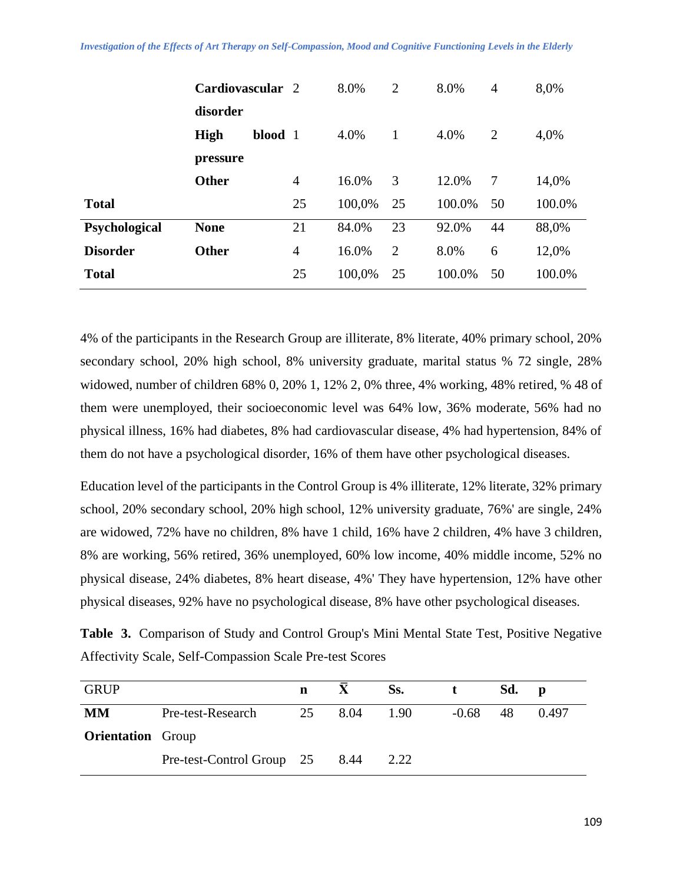#### *Investigation of the Effects of Art Therapy on Self-Compassion, Mood and Cognitive Functioning Levels in the Elderly*

|                 | Cardiovascular 2 |         |    | 8.0%   | $\overline{2}$ | 8.0%   | $\overline{4}$ | 8,0%   |
|-----------------|------------------|---------|----|--------|----------------|--------|----------------|--------|
|                 | disorder         |         |    |        |                |        |                |        |
|                 | <b>High</b>      | blood 1 |    | 4.0%   | 1              | 4.0%   | $\overline{2}$ | 4,0%   |
|                 | pressure         |         |    |        |                |        |                |        |
|                 | <b>Other</b>     |         | 4  | 16.0%  | 3              | 12.0%  | 7              | 14,0%  |
| <b>Total</b>    |                  |         | 25 | 100,0% | 25             | 100.0% | 50             | 100.0% |
| Psychological   | <b>None</b>      |         | 21 | 84.0%  | 23             | 92.0%  | 44             | 88,0%  |
| <b>Disorder</b> | <b>Other</b>     |         | 4  | 16.0%  | $\overline{2}$ | 8.0%   | 6              | 12,0%  |
| <b>Total</b>    |                  |         | 25 | 100,0% | 25             | 100.0% | 50             | 100.0% |

4% of the participants in the Research Group are illiterate, 8% literate, 40% primary school, 20% secondary school, 20% high school, 8% university graduate, marital status % 72 single, 28% widowed, number of children 68% 0, 20% 1, 12% 2, 0% three, 4% working, 48% retired, % 48 of them were unemployed, their socioeconomic level was 64% low, 36% moderate, 56% had no physical illness, 16% had diabetes, 8% had cardiovascular disease, 4% had hypertension, 84% of them do not have a psychological disorder, 16% of them have other psychological diseases.

Education level of the participants in the Control Group is 4% illiterate, 12% literate, 32% primary school, 20% secondary school, 20% high school, 12% university graduate, 76%' are single, 24% are widowed, 72% have no children, 8% have 1 child, 16% have 2 children, 4% have 3 children, 8% are working, 56% retired, 36% unemployed, 60% low income, 40% middle income, 52% no physical disease, 24% diabetes, 8% heart disease, 4%' They have hypertension, 12% have other physical diseases, 92% have no psychological disease, 8% have other psychological diseases.

**Table 3.** Comparison of Study and Control Group's Mini Mental State Test, Positive Negative Affectivity Scale, Self-Compassion Scale Pre-test Scores

| <b>GRUP</b>              |                           | n  |      | Ss.  |         | Sd. | D     |
|--------------------------|---------------------------|----|------|------|---------|-----|-------|
| <b>MM</b>                | Pre-test-Research         | 25 | 8.04 | 1.90 | $-0.68$ | 48  | 0.497 |
| <b>Orientation</b> Group |                           |    |      |      |         |     |       |
|                          | Pre-test-Control Group 25 |    | 8.44 | 2.22 |         |     |       |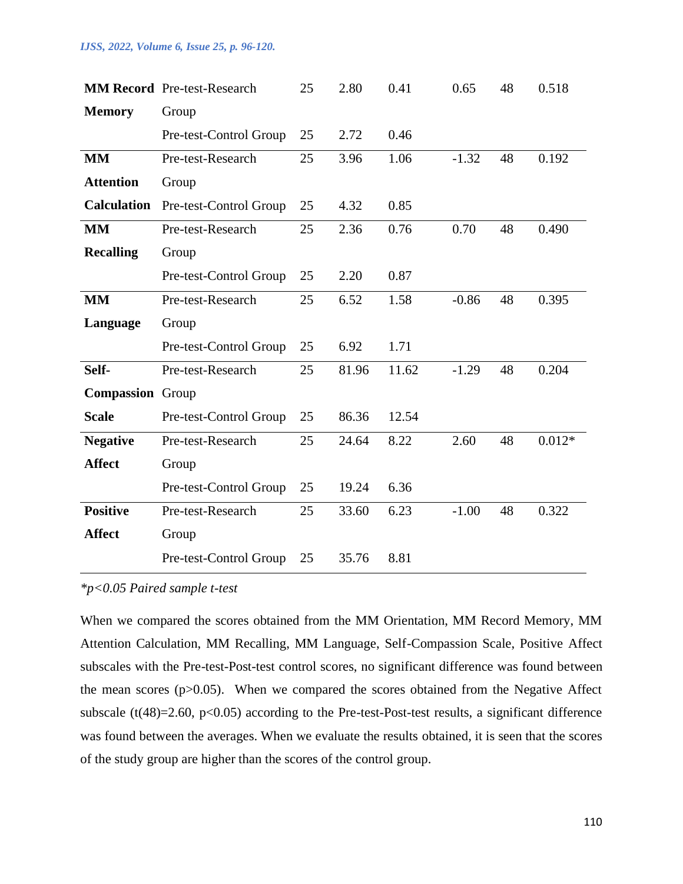#### *IJSS, 2022, Volume 6, Issue 25, p. 96-120.*

|                         | <b>MM Record Pre-test-Research</b> | 25 | 2.80  | 0.41  | 0.65    | 48 | 0.518    |
|-------------------------|------------------------------------|----|-------|-------|---------|----|----------|
| <b>Memory</b>           | Group                              |    |       |       |         |    |          |
|                         | Pre-test-Control Group             | 25 | 2.72  | 0.46  |         |    |          |
| <b>MM</b>               | Pre-test-Research                  | 25 | 3.96  | 1.06  | $-1.32$ | 48 | 0.192    |
| <b>Attention</b>        | Group                              |    |       |       |         |    |          |
| <b>Calculation</b>      | Pre-test-Control Group             | 25 | 4.32  | 0.85  |         |    |          |
| <b>MM</b>               | Pre-test-Research                  | 25 | 2.36  | 0.76  | 0.70    | 48 | 0.490    |
| <b>Recalling</b>        | Group                              |    |       |       |         |    |          |
|                         | Pre-test-Control Group             | 25 | 2.20  | 0.87  |         |    |          |
| <b>MM</b>               | Pre-test-Research                  | 25 | 6.52  | 1.58  | $-0.86$ | 48 | 0.395    |
| Language                | Group                              |    |       |       |         |    |          |
|                         | Pre-test-Control Group             | 25 | 6.92  | 1.71  |         |    |          |
| Self-                   | Pre-test-Research                  | 25 | 81.96 | 11.62 | $-1.29$ | 48 | 0.204    |
| <b>Compassion</b> Group |                                    |    |       |       |         |    |          |
| <b>Scale</b>            | Pre-test-Control Group             | 25 | 86.36 | 12.54 |         |    |          |
| <b>Negative</b>         | Pre-test-Research                  | 25 | 24.64 | 8.22  | 2.60    | 48 | $0.012*$ |
| <b>Affect</b>           | Group                              |    |       |       |         |    |          |
|                         | Pre-test-Control Group             | 25 | 19.24 | 6.36  |         |    |          |
| <b>Positive</b>         | Pre-test-Research                  | 25 | 33.60 | 6.23  | $-1.00$ | 48 | 0.322    |
| <b>Affect</b>           | Group                              |    |       |       |         |    |          |
|                         | Pre-test-Control Group             | 25 | 35.76 | 8.81  |         |    |          |

#### *\*p<0.05 Paired sample t-test*

When we compared the scores obtained from the MM Orientation, MM Record Memory, MM Attention Calculation, MM Recalling, MM Language, Self-Compassion Scale, Positive Affect subscales with the Pre-test-Post-test control scores, no significant difference was found between the mean scores  $(p>0.05)$ . When we compared the scores obtained from the Negative Affect subscale ( $t(48)=2.60$ ,  $p<0.05$ ) according to the Pre-test-Post-test results, a significant difference was found between the averages. When we evaluate the results obtained, it is seen that the scores of the study group are higher than the scores of the control group.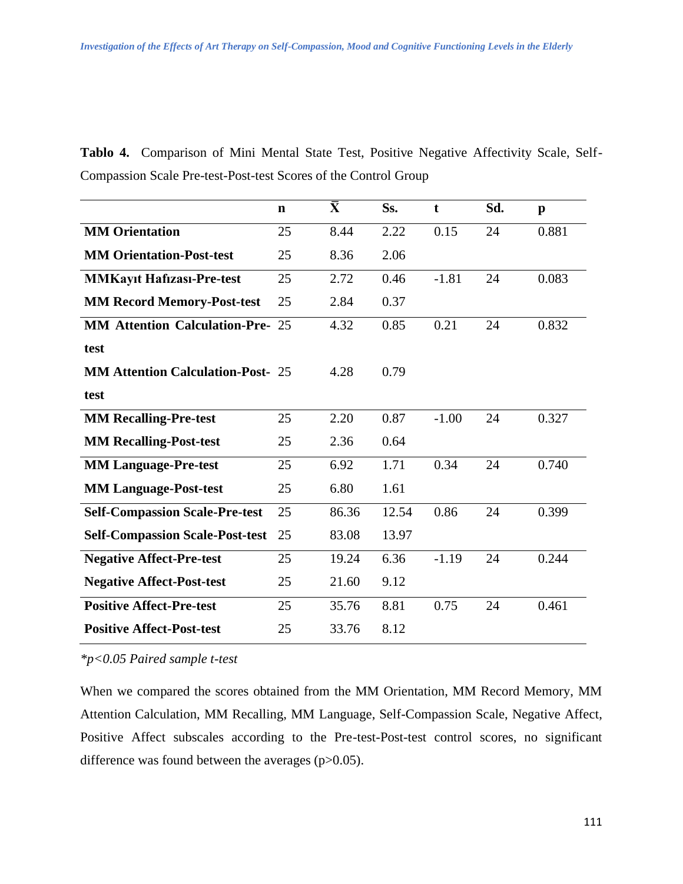| Tablo 4. Comparison of Mini Mental State Test, Positive Negative Affectivity Scale, Self- |  |  |  |  |  |
|-------------------------------------------------------------------------------------------|--|--|--|--|--|
| Compassion Scale Pre-test-Post-test Scores of the Control Group                           |  |  |  |  |  |

|                                          | $\mathbf n$ | $\bar{\textbf{X}}$ | Ss.   | t       | Sd. | $\mathbf{p}$ |
|------------------------------------------|-------------|--------------------|-------|---------|-----|--------------|
| <b>MM</b> Orientation                    | 25          | 8.44               | 2.22  | 0.15    | 24  | 0.881        |
| <b>MM Orientation-Post-test</b>          | 25          | 8.36               | 2.06  |         |     |              |
| <b>MMKayıt Hafizası-Pre-test</b>         | 25          | 2.72               | 0.46  | $-1.81$ | 24  | 0.083        |
| <b>MM Record Memory-Post-test</b>        | 25          | 2.84               | 0.37  |         |     |              |
| <b>MM Attention Calculation-Pre- 25</b>  |             | 4.32               | 0.85  | 0.21    | 24  | 0.832        |
| test                                     |             |                    |       |         |     |              |
| <b>MM Attention Calculation-Post- 25</b> |             | 4.28               | 0.79  |         |     |              |
| test                                     |             |                    |       |         |     |              |
| <b>MM Recalling-Pre-test</b>             | 25          | 2.20               | 0.87  | $-1.00$ | 24  | 0.327        |
| <b>MM Recalling-Post-test</b>            | 25          | 2.36               | 0.64  |         |     |              |
| <b>MM Language-Pre-test</b>              | 25          | 6.92               | 1.71  | 0.34    | 24  | 0.740        |
| <b>MM Language-Post-test</b>             | 25          | 6.80               | 1.61  |         |     |              |
| <b>Self-Compassion Scale-Pre-test</b>    | 25          | 86.36              | 12.54 | 0.86    | 24  | 0.399        |
| <b>Self-Compassion Scale-Post-test</b>   | 25          | 83.08              | 13.97 |         |     |              |
| <b>Negative Affect-Pre-test</b>          | 25          | 19.24              | 6.36  | $-1.19$ | 24  | 0.244        |
| <b>Negative Affect-Post-test</b>         | 25          | 21.60              | 9.12  |         |     |              |
| <b>Positive Affect-Pre-test</b>          | 25          | 35.76              | 8.81  | 0.75    | 24  | 0.461        |
| <b>Positive Affect-Post-test</b>         | 25          | 33.76              | 8.12  |         |     |              |

*\*p<0.05 Paired sample t-test*

When we compared the scores obtained from the MM Orientation, MM Record Memory, MM Attention Calculation, MM Recalling, MM Language, Self-Compassion Scale, Negative Affect, Positive Affect subscales according to the Pre-test-Post-test control scores, no significant difference was found between the averages (p>0.05).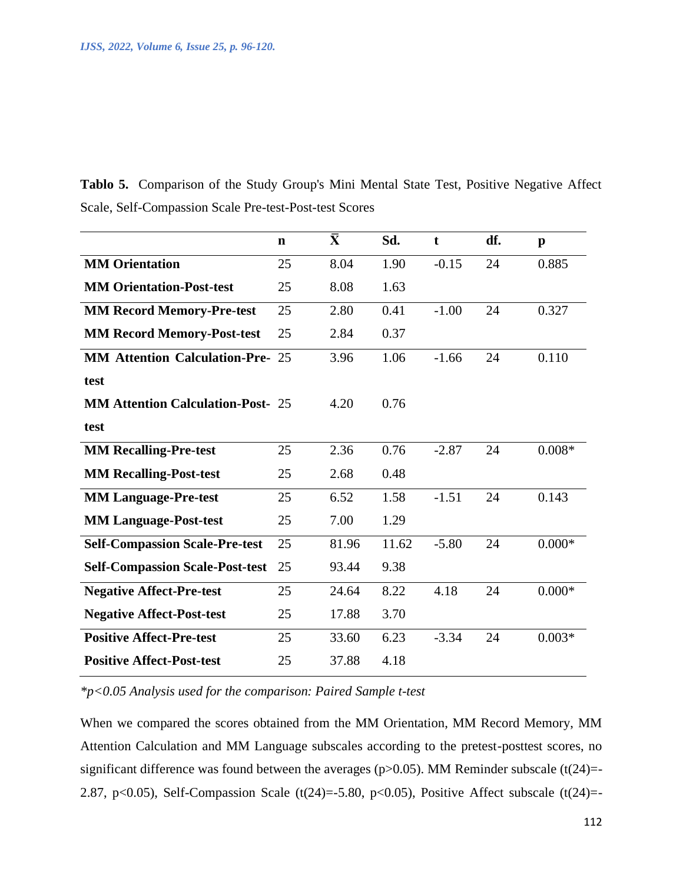**Tablo 5.** Comparison of the Study Group's Mini Mental State Test, Positive Negative Affect Scale, Self-Compassion Scale Pre-test-Post-test Scores

|                                          | $\mathbf n$ | $\bar{\mathbf{X}}$ | Sd.   | $\mathbf t$ | df. | $\mathbf{p}$ |
|------------------------------------------|-------------|--------------------|-------|-------------|-----|--------------|
| <b>MM</b> Orientation                    | 25          | 8.04               | 1.90  | $-0.15$     | 24  | 0.885        |
| <b>MM Orientation-Post-test</b>          | 25          | 8.08               | 1.63  |             |     |              |
| <b>MM Record Memory-Pre-test</b>         | 25          | 2.80               | 0.41  | $-1.00$     | 24  | 0.327        |
| <b>MM Record Memory-Post-test</b>        | 25          | 2.84               | 0.37  |             |     |              |
| <b>MM Attention Calculation-Pre- 25</b>  |             | 3.96               | 1.06  | $-1.66$     | 24  | 0.110        |
| test                                     |             |                    |       |             |     |              |
| <b>MM Attention Calculation-Post- 25</b> |             | 4.20               | 0.76  |             |     |              |
| test                                     |             |                    |       |             |     |              |
| <b>MM Recalling-Pre-test</b>             | 25          | 2.36               | 0.76  | $-2.87$     | 24  | $0.008*$     |
| <b>MM Recalling-Post-test</b>            | 25          | 2.68               | 0.48  |             |     |              |
| <b>MM Language-Pre-test</b>              | 25          | 6.52               | 1.58  | $-1.51$     | 24  | 0.143        |
| <b>MM Language-Post-test</b>             | 25          | 7.00               | 1.29  |             |     |              |
| <b>Self-Compassion Scale-Pre-test</b>    | 25          | 81.96              | 11.62 | $-5.80$     | 24  | $0.000*$     |
| <b>Self-Compassion Scale-Post-test</b>   | 25          | 93.44              | 9.38  |             |     |              |
| <b>Negative Affect-Pre-test</b>          | 25          | 24.64              | 8.22  | 4.18        | 24  | $0.000*$     |
| <b>Negative Affect-Post-test</b>         | 25          | 17.88              | 3.70  |             |     |              |
| <b>Positive Affect-Pre-test</b>          | 25          | 33.60              | 6.23  | $-3.34$     | 24  | $0.003*$     |
| <b>Positive Affect-Post-test</b>         | 25          | 37.88              | 4.18  |             |     |              |

*\*p<0.05 Analysis used for the comparison: Paired Sample t-test*

When we compared the scores obtained from the MM Orientation, MM Record Memory, MM Attention Calculation and MM Language subscales according to the pretest-posttest scores, no significant difference was found between the averages ( $p$ >0.05). MM Reminder subscale ( $t(24)$ =-2.87, p<0.05), Self-Compassion Scale (t(24)=-5.80, p<0.05), Positive Affect subscale (t(24)=-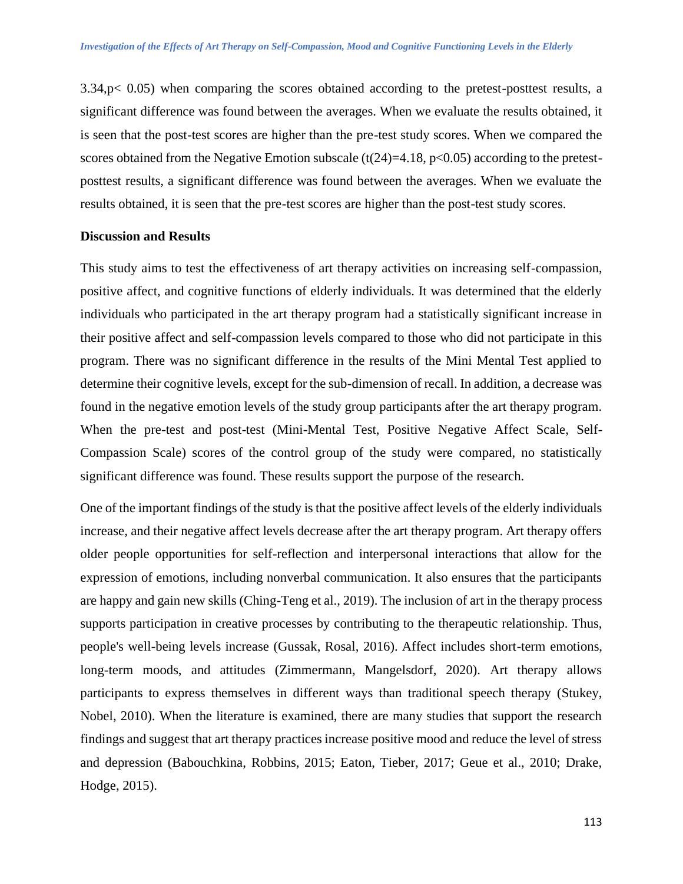3.34,p< 0.05) when comparing the scores obtained according to the pretest-posttest results, a significant difference was found between the averages. When we evaluate the results obtained, it is seen that the post-test scores are higher than the pre-test study scores. When we compared the scores obtained from the Negative Emotion subscale  $(t(24)=4.18, p<0.05)$  according to the pretestposttest results, a significant difference was found between the averages. When we evaluate the results obtained, it is seen that the pre-test scores are higher than the post-test study scores.

#### **Discussion and Results**

This study aims to test the effectiveness of art therapy activities on increasing self-compassion, positive affect, and cognitive functions of elderly individuals. It was determined that the elderly individuals who participated in the art therapy program had a statistically significant increase in their positive affect and self-compassion levels compared to those who did not participate in this program. There was no significant difference in the results of the Mini Mental Test applied to determine their cognitive levels, except for the sub-dimension of recall. In addition, a decrease was found in the negative emotion levels of the study group participants after the art therapy program. When the pre-test and post-test (Mini-Mental Test, Positive Negative Affect Scale, Self-Compassion Scale) scores of the control group of the study were compared, no statistically significant difference was found. These results support the purpose of the research.

One of the important findings of the study is that the positive affect levels of the elderly individuals increase, and their negative affect levels decrease after the art therapy program. Art therapy offers older people opportunities for self-reflection and interpersonal interactions that allow for the expression of emotions, including nonverbal communication. It also ensures that the participants are happy and gain new skills (Ching-Teng et al., 2019). The inclusion of art in the therapy process supports participation in creative processes by contributing to the therapeutic relationship. Thus, people's well-being levels increase (Gussak, Rosal, 2016). Affect includes short-term emotions, long-term moods, and attitudes (Zimmermann, Mangelsdorf, 2020). Art therapy allows participants to express themselves in different ways than traditional speech therapy (Stukey, Nobel, 2010). When the literature is examined, there are many studies that support the research findings and suggest that art therapy practices increase positive mood and reduce the level of stress and depression (Babouchkina, Robbins, 2015; Eaton, Tieber, 2017; Geue et al., 2010; Drake, Hodge, 2015).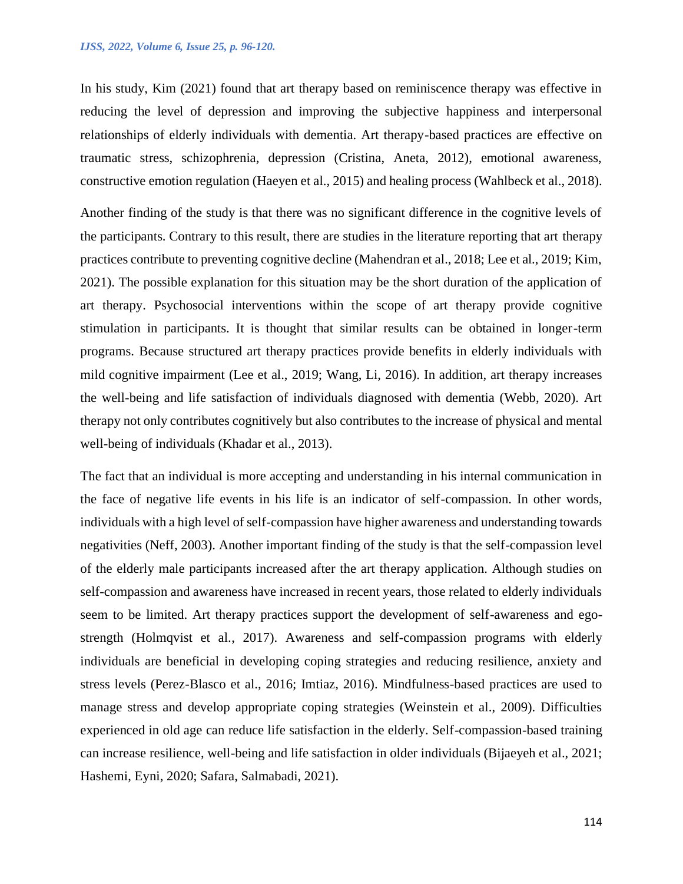In his study, Kim (2021) found that art therapy based on reminiscence therapy was effective in reducing the level of depression and improving the subjective happiness and interpersonal relationships of elderly individuals with dementia. Art therapy-based practices are effective on traumatic stress, schizophrenia, depression (Cristina, Aneta, 2012), emotional awareness, constructive emotion regulation (Haeyen et al., 2015) and healing process (Wahlbeck et al., 2018).

Another finding of the study is that there was no significant difference in the cognitive levels of the participants. Contrary to this result, there are studies in the literature reporting that art therapy practices contribute to preventing cognitive decline (Mahendran et al., 2018; Lee et al., 2019; Kim, 2021). The possible explanation for this situation may be the short duration of the application of art therapy. Psychosocial interventions within the scope of art therapy provide cognitive stimulation in participants. It is thought that similar results can be obtained in longer-term programs. Because structured art therapy practices provide benefits in elderly individuals with mild cognitive impairment (Lee et al., 2019; Wang, Li, 2016). In addition, art therapy increases the well-being and life satisfaction of individuals diagnosed with dementia (Webb, 2020). Art therapy not only contributes cognitively but also contributes to the increase of physical and mental well-being of individuals (Khadar et al., 2013).

The fact that an individual is more accepting and understanding in his internal communication in the face of negative life events in his life is an indicator of self-compassion. In other words, individuals with a high level of self-compassion have higher awareness and understanding towards negativities (Neff, 2003). Another important finding of the study is that the self-compassion level of the elderly male participants increased after the art therapy application. Although studies on self-compassion and awareness have increased in recent years, those related to elderly individuals seem to be limited. Art therapy practices support the development of self-awareness and egostrength (Holmqvist et al., 2017). Awareness and self-compassion programs with elderly individuals are beneficial in developing coping strategies and reducing resilience, anxiety and stress levels (Perez-Blasco et al., 2016; Imtiaz, 2016). Mindfulness-based practices are used to manage stress and develop appropriate coping strategies (Weinstein et al., 2009). Difficulties experienced in old age can reduce life satisfaction in the elderly. Self-compassion-based training can increase resilience, well-being and life satisfaction in older individuals (Bijaeyeh et al., 2021; Hashemi, Eyni, 2020; Safara, Salmabadi, 2021).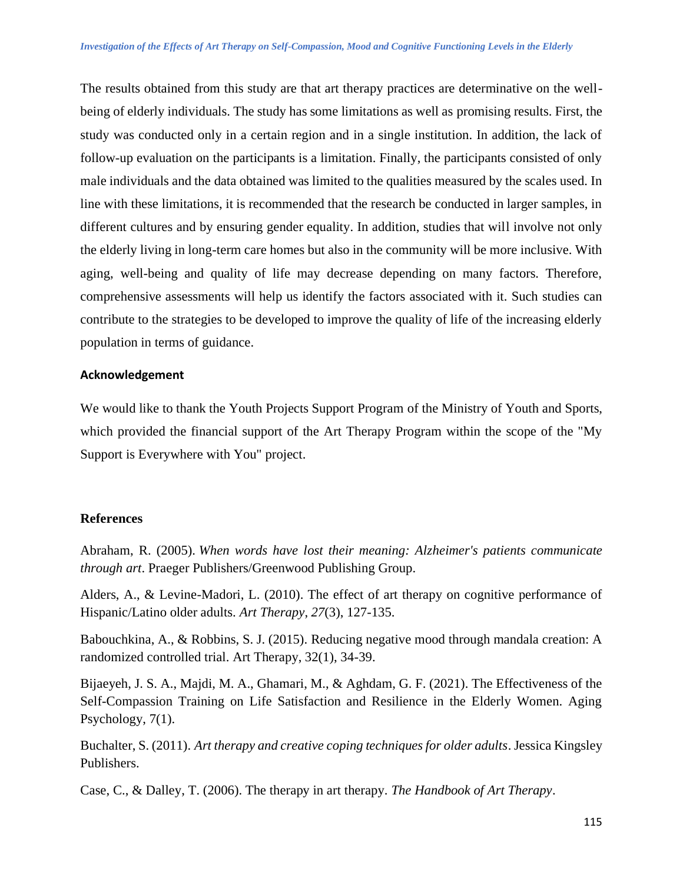The results obtained from this study are that art therapy practices are determinative on the wellbeing of elderly individuals. The study has some limitations as well as promising results. First, the study was conducted only in a certain region and in a single institution. In addition, the lack of follow-up evaluation on the participants is a limitation. Finally, the participants consisted of only male individuals and the data obtained was limited to the qualities measured by the scales used. In line with these limitations, it is recommended that the research be conducted in larger samples, in different cultures and by ensuring gender equality. In addition, studies that will involve not only the elderly living in long-term care homes but also in the community will be more inclusive. With aging, well-being and quality of life may decrease depending on many factors. Therefore, comprehensive assessments will help us identify the factors associated with it. Such studies can contribute to the strategies to be developed to improve the quality of life of the increasing elderly population in terms of guidance.

# **Acknowledgement**

We would like to thank the Youth Projects Support Program of the Ministry of Youth and Sports, which provided the financial support of the Art Therapy Program within the scope of the "My Support is Everywhere with You" project.

# **References**

Abraham, R. (2005). *When words have lost their meaning: Alzheimer's patients communicate through art*. Praeger Publishers/Greenwood Publishing Group.

Alders, A., & Levine-Madori, L. (2010). The effect of art therapy on cognitive performance of Hispanic/Latino older adults. *Art Therapy*, *27*(3), 127-135.

Babouchkina, A., & Robbins, S. J. (2015). Reducing negative mood through mandala creation: A randomized controlled trial. Art Therapy, 32(1), 34-39.

Bijaeyeh, J. S. A., Majdi, M. A., Ghamari, M., & Aghdam, G. F. (2021). The Effectiveness of the Self-Compassion Training on Life Satisfaction and Resilience in the Elderly Women. Aging Psychology, 7(1).

Buchalter, S. (2011). *Art therapy and creative coping techniques for older adults*. Jessica Kingsley Publishers.

Case, C., & Dalley, T. (2006). The therapy in art therapy. *The Handbook of Art Therapy*.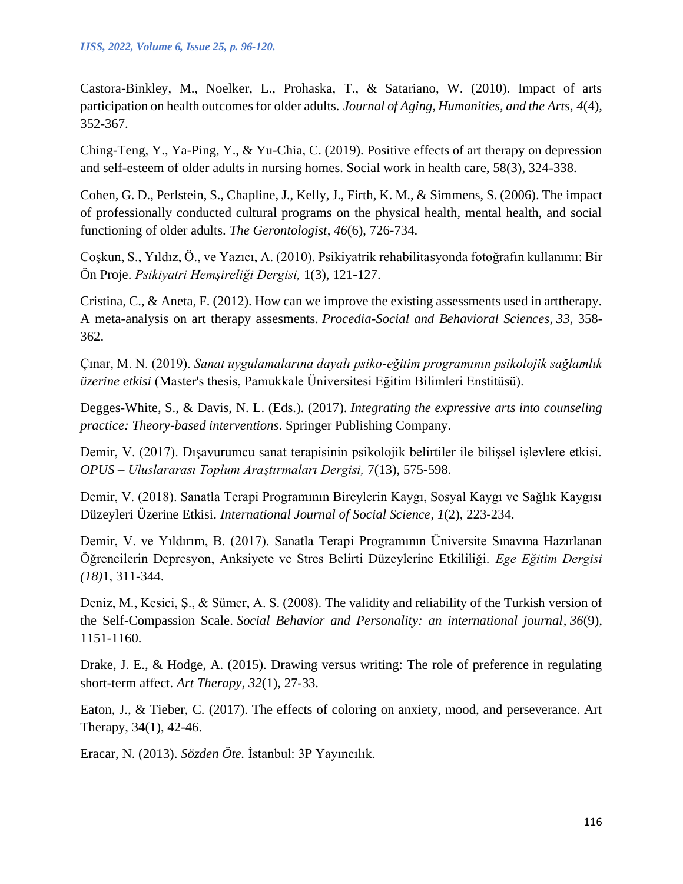Castora-Binkley, M., Noelker, L., Prohaska, T., & Satariano, W. (2010). Impact of arts participation on health outcomes for older adults. *Journal of Aging, Humanities, and the Arts*, *4*(4), 352-367.

Ching-Teng, Y., Ya-Ping, Y., & Yu-Chia, C. (2019). Positive effects of art therapy on depression and self-esteem of older adults in nursing homes. Social work in health care, 58(3), 324-338.

Cohen, G. D., Perlstein, S., Chapline, J., Kelly, J., Firth, K. M., & Simmens, S. (2006). The impact of professionally conducted cultural programs on the physical health, mental health, and social functioning of older adults. *The Gerontologist*, *46*(6), 726-734.

Coşkun, S., Yıldız, Ö., ve Yazıcı, A. (2010). Psikiyatrik rehabilitasyonda fotoğrafın kullanımı: Bir Ön Proje. *Psikiyatri Hemşireliği Dergisi,* 1(3), 121-127.

Cristina, C., & Aneta, F. (2012). How can we improve the existing assessments used in arttherapy. A meta-analysis on art therapy assesments. *Procedia-Social and Behavioral Sciences*, *33*, 358- 362.

Çınar, M. N. (2019). *Sanat uygulamalarına dayalı psiko-eğitim programının psikolojik sağlamlık üzerine etkisi* (Master's thesis, Pamukkale Üniversitesi Eğitim Bilimleri Enstitüsü).

Degges-White, S., & Davis, N. L. (Eds.). (2017). *Integrating the expressive arts into counseling practice: Theory-based interventions*. Springer Publishing Company.

Demir, V. (2017). Dışavurumcu sanat terapisinin psikolojik belirtiler ile bilişsel işlevlere etkisi. *OPUS – Uluslararası Toplum Araştırmaları Dergisi,* 7(13), 575-598.

Demir, V. (2018). Sanatla Terapi Programının Bireylerin Kaygı, Sosyal Kaygı ve Sağlık Kaygısı Düzeyleri Üzerine Etkisi. *International Journal of Social Science*, *1*(2), 223-234.

Demir, V. ve Yıldırım, B. (2017). Sanatla Terapi Programının Üniversite Sınavına Hazırlanan Öğrencilerin Depresyon, Anksiyete ve Stres Belirti Düzeylerine Etkililiği. *Ege Eğitim Dergisi (18)*1, 311-344.

Deniz, M., Kesici, Ş., & Sümer, A. S. (2008). The validity and reliability of the Turkish version of the Self-Compassion Scale. *Social Behavior and Personality: an international journal*, *36*(9), 1151-1160.

Drake, J. E., & Hodge, A. (2015). Drawing versus writing: The role of preference in regulating short-term affect. *Art Therapy*, *32*(1), 27-33.

Eaton, J., & Tieber, C. (2017). The effects of coloring on anxiety, mood, and perseverance. Art Therapy, 34(1), 42-46.

Eracar, N. (2013). *Sözden Öte.* İstanbul: 3P Yayıncılık.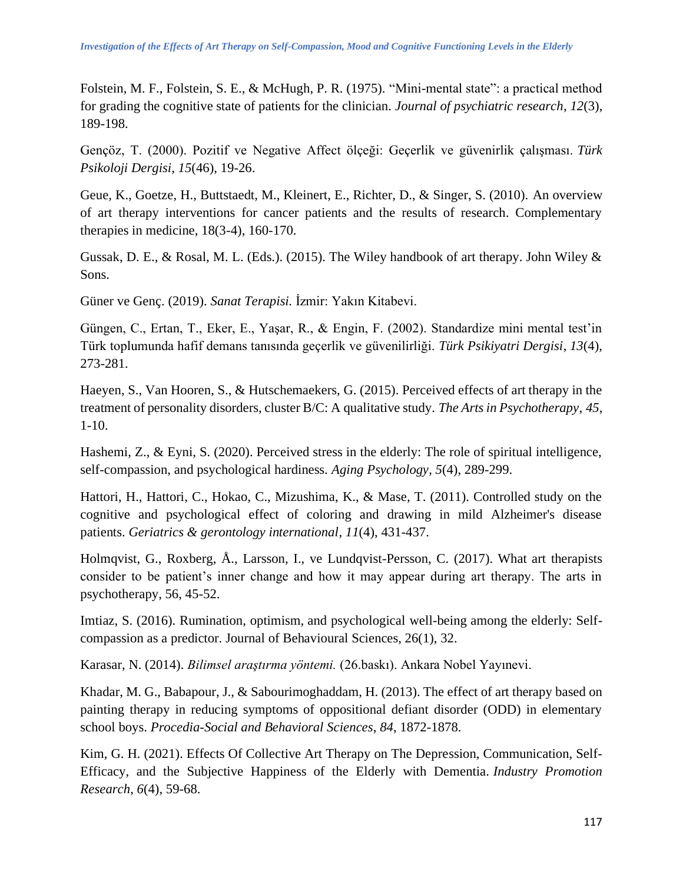Folstein, M. F., Folstein, S. E., & McHugh, P. R. (1975). "Mini-mental state": a practical method for grading the cognitive state of patients for the clinician. *Journal of psychiatric research*, *12*(3), 189-198.

Gençöz, T. (2000). Pozitif ve Negative Affect ölçeği: Geçerlik ve güvenirlik çalışması. *Türk Psikoloji Dergisi*, *15*(46), 19-26.

Geue, K., Goetze, H., Buttstaedt, M., Kleinert, E., Richter, D., & Singer, S. (2010). An overview of art therapy interventions for cancer patients and the results of research. Complementary therapies in medicine, 18(3-4), 160-170.

Gussak, D. E., & Rosal, M. L. (Eds.). (2015). The Wiley handbook of art therapy. John Wiley & Sons.

Güner ve Genç. (2019). *Sanat Terapisi.* İzmir: Yakın Kitabevi.

Güngen, C., Ertan, T., Eker, E., Yaşar, R., & Engin, F. (2002). Standardize mini mental test'in Türk toplumunda hafif demans tanısında geçerlik ve güvenilirliği. *Türk Psikiyatri Dergisi*, *13*(4), 273-281.

Haeyen, S., Van Hooren, S., & Hutschemaekers, G. (2015). Perceived effects of art therapy in the treatment of personality disorders, cluster B/C: A qualitative study. *The Arts in Psychotherapy*, *45*, 1-10.

Hashemi, Z., & Eyni, S. (2020). Perceived stress in the elderly: The role of spiritual intelligence, self-compassion, and psychological hardiness. *Aging Psychology*, *5*(4), 289-299.

Hattori, H., Hattori, C., Hokao, C., Mizushima, K., & Mase, T. (2011). Controlled study on the cognitive and psychological effect of coloring and drawing in mild Alzheimer's disease patients. *Geriatrics & gerontology international*, *11*(4), 431-437.

Holmqvist, G., Roxberg, Å., Larsson, I., ve Lundqvist-Persson, C. (2017). What art therapists consider to be patient's inner change and how it may appear during art therapy. The arts in psychotherapy, 56, 45-52.

Imtiaz, S. (2016). Rumination, optimism, and psychological well-being among the elderly: Selfcompassion as a predictor. Journal of Behavioural Sciences, 26(1), 32.

Karasar, N. (2014). *Bilimsel araştırma yöntemi.* (26.baskı). Ankara Nobel Yayınevi.

Khadar, M. G., Babapour, J., & Sabourimoghaddam, H. (2013). The effect of art therapy based on painting therapy in reducing symptoms of oppositional defiant disorder (ODD) in elementary school boys. *Procedia-Social and Behavioral Sciences*, *84*, 1872-1878.

Kim, G. H. (2021). Effects Of Collective Art Therapy on The Depression, Communication, Self-Efficacy, and the Subjective Happiness of the Elderly with Dementia. *Industry Promotion Research*, *6*(4), 59-68.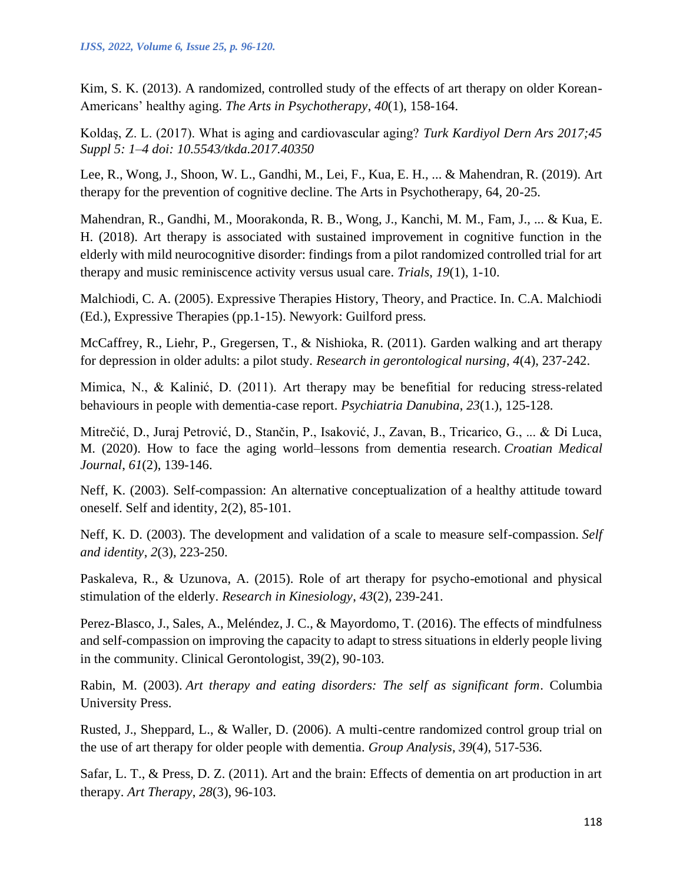Kim, S. K. (2013). A randomized, controlled study of the effects of art therapy on older Korean-Americans' healthy aging. *The Arts in Psychotherapy*, *40*(1), 158-164.

Koldaş, Z. L. (2017). What is aging and cardiovascular aging? *Turk Kardiyol Dern Ars 2017;45 Suppl 5: 1–4 doi: 10.5543/tkda.2017.40350*

Lee, R., Wong, J., Shoon, W. L., Gandhi, M., Lei, F., Kua, E. H., ... & Mahendran, R. (2019). Art therapy for the prevention of cognitive decline. The Arts in Psychotherapy, 64, 20-25.

Mahendran, R., Gandhi, M., Moorakonda, R. B., Wong, J., Kanchi, M. M., Fam, J., ... & Kua, E. H. (2018). Art therapy is associated with sustained improvement in cognitive function in the elderly with mild neurocognitive disorder: findings from a pilot randomized controlled trial for art therapy and music reminiscence activity versus usual care. *Trials*, *19*(1), 1-10.

Malchiodi, C. A. (2005). Expressive Therapies History, Theory, and Practice. In. C.A. Malchiodi (Ed.), Expressive Therapies (pp.1-15). Newyork: Guilford press.

McCaffrey, R., Liehr, P., Gregersen, T., & Nishioka, R. (2011). Garden walking and art therapy for depression in older adults: a pilot study. *Research in gerontological nursing*, *4*(4), 237-242.

Mimica, N., & Kalinić, D. (2011). Art therapy may be benefitial for reducing stress-related behaviours in people with dementia-case report. *Psychiatria Danubina*, *23*(1.), 125-128.

Mitrečić, D., Juraj Petrović, D., Stančin, P., Isaković, J., Zavan, B., Tricarico, G., ... & Di Luca, M. (2020). How to face the aging world–lessons from dementia research. *Croatian Medical Journal*, *61*(2), 139-146.

Neff, K. (2003). Self-compassion: An alternative conceptualization of a healthy attitude toward oneself. Self and identity, 2(2), 85-101.

Neff, K. D. (2003). The development and validation of a scale to measure self-compassion. *Self and identity*, *2*(3), 223-250.

Paskaleva, R., & Uzunova, A. (2015). Role of art therapy for psycho-emotional and physical stimulation of the elderly. *Research in Kinesiology*, *43*(2), 239-241.

Perez-Blasco, J., Sales, A., Meléndez, J. C., & Mayordomo, T. (2016). The effects of mindfulness and self-compassion on improving the capacity to adapt to stress situations in elderly people living in the community. Clinical Gerontologist, 39(2), 90-103.

Rabin, M. (2003). *Art therapy and eating disorders: The self as significant form*. Columbia University Press.

Rusted, J., Sheppard, L., & Waller, D. (2006). A multi-centre randomized control group trial on the use of art therapy for older people with dementia. *Group Analysis*, *39*(4), 517-536.

Safar, L. T., & Press, D. Z. (2011). Art and the brain: Effects of dementia on art production in art therapy. *Art Therapy*, *28*(3), 96-103.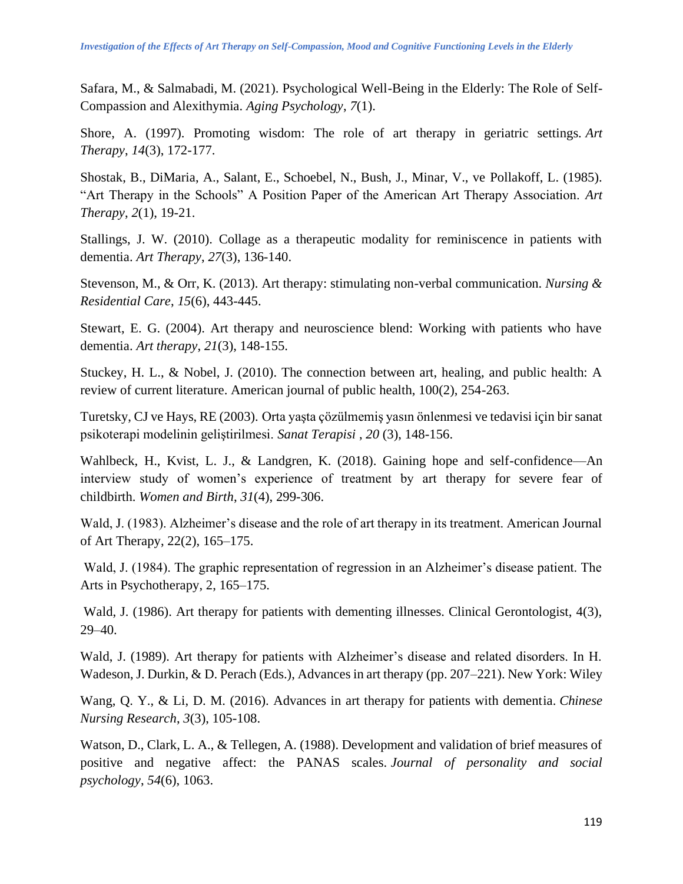Safara, M., & Salmabadi, M. (2021). Psychological Well-Being in the Elderly: The Role of Self-Compassion and Alexithymia. *Aging Psychology*, *7*(1).

Shore, A. (1997). Promoting wisdom: The role of art therapy in geriatric settings. *Art Therapy*, *14*(3), 172-177.

Shostak, B., DiMaria, A., Salant, E., Schoebel, N., Bush, J., Minar, V., ve Pollakoff, L. (1985). "Art Therapy in the Schools" A Position Paper of the American Art Therapy Association. *Art Therapy*, *2*(1), 19-21.

Stallings, J. W. (2010). Collage as a therapeutic modality for reminiscence in patients with dementia. *Art Therapy*, *27*(3), 136-140.

Stevenson, M., & Orr, K. (2013). Art therapy: stimulating non-verbal communication. *Nursing & Residential Care*, *15*(6), 443-445.

Stewart, E. G. (2004). Art therapy and neuroscience blend: Working with patients who have dementia. *Art therapy*, *21*(3), 148-155.

Stuckey, H. L., & Nobel, J. (2010). The connection between art, healing, and public health: A review of current literature. American journal of public health, 100(2), 254-263.

Turetsky, CJ ve Hays, RE (2003). Orta yaşta çözülmemiş yasın önlenmesi ve tedavisi için bir sanat psikoterapi modelinin geliştirilmesi. *Sanat Terapisi* , *20* (3), 148-156.

Wahlbeck, H., Kvist, L. J., & Landgren, K. (2018). Gaining hope and self-confidence—An interview study of women's experience of treatment by art therapy for severe fear of childbirth. *Women and Birth*, *31*(4), 299-306.

Wald, J. (1983). Alzheimer's disease and the role of art therapy in its treatment. American Journal of Art Therapy, 22(2), 165–175.

Wald, J. (1984). The graphic representation of regression in an Alzheimer's disease patient. The Arts in Psychotherapy, 2, 165–175.

Wald, J. (1986). Art therapy for patients with dementing illnesses. Clinical Gerontologist, 4(3), 29–40.

Wald, J. (1989). Art therapy for patients with Alzheimer's disease and related disorders. In H. Wadeson, J. Durkin, & D. Perach (Eds.), Advances in art therapy (pp. 207–221). New York: Wiley

Wang, Q. Y., & Li, D. M. (2016). Advances in art therapy for patients with dementia. *Chinese Nursing Research*, *3*(3), 105-108.

Watson, D., Clark, L. A., & Tellegen, A. (1988). Development and validation of brief measures of positive and negative affect: the PANAS scales. *Journal of personality and social psychology*, *54*(6), 1063.